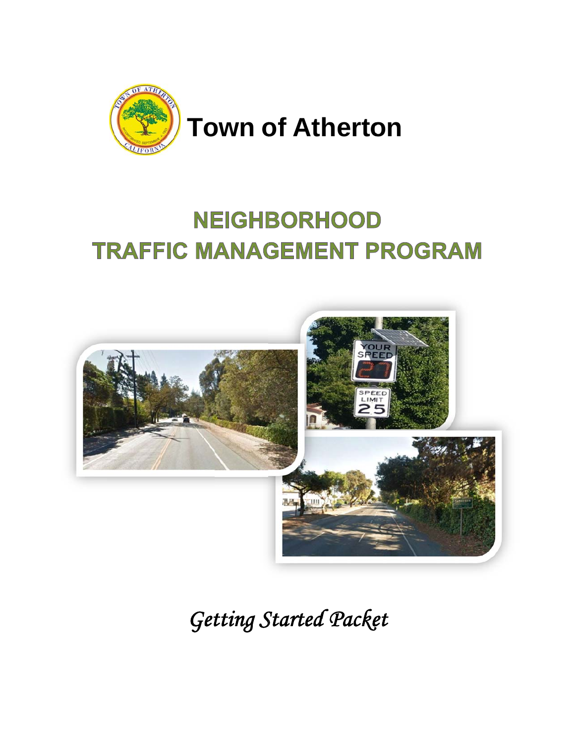

# **NEIGHBORHOOD TRAFFIC MANAGEMENT PROGRAM**



**Getting Started Packet**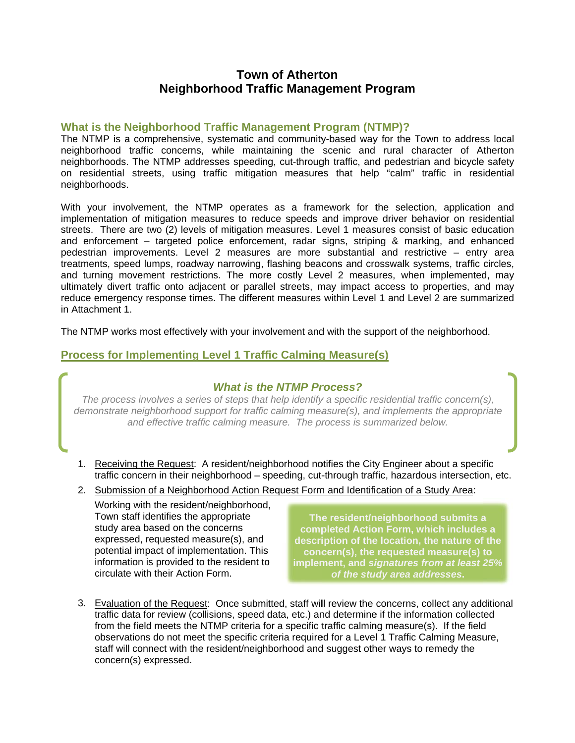#### **Town of Atherton Neighborhood Traffic Management Program**

#### What is the Neighborhood Traffic Management Program (NTMP)?

The NTMP is a comprehensive, systematic and community-based way for the Town to address local neighborhood traffic concerns, while maintaining the scenic and rural character of Atherton neighborhoods. The NTMP addresses speeding, cut-through traffic, and pedestrian and bicycle safety on residential streets, using traffic mitigation measures that help "calm" traffic in residential neighborhoods.

With your involvement, the NTMP operates as a framework for the selection, application and implementation of mitigation measures to reduce speeds and improve driver behavior on residential streets. There are two (2) levels of mitigation measures. Level 1 measures consist of basic education and enforcement – targeted police enforcement, radar signs, striping & marking, and enhanced pedestrian improvements. Level 2 measures are more substantial and restrictive - entry area treatments, speed lumps, roadway narrowing, flashing beacons and crosswalk systems, traffic circles, and turning movement restrictions. The more costly Level 2 measures, when implemented, may ultimately divert traffic onto adjacent or parallel streets, may impact access to properties, and may reduce emergency response times. The different measures within Level 1 and Level 2 are summarized in Attachment 1.

The NTMP works most effectively with your involvement and with the support of the neighborhood.

#### **Process for Implementing Level 1 Traffic Calming Measure(s)**

#### **What is the NTMP Process?**

The process involves a series of steps that help identify a specific residential traffic concern(s), demonstrate neighborhood support for traffic calming measure(s), and implements the appropriate and effective traffic calming measure. The process is summarized below.

- 1. Receiving the Request: A resident/neighborhood notifies the City Engineer about a specific traffic concern in their neighborhood - speeding, cut-through traffic, hazardous intersection, etc.
- 2. Submission of a Neighborhood Action Request Form and Identification of a Study Area:

Working with the resident/neighborhood, Town staff identifies the appropriate study area based on the concerns expressed, requested measure(s), and potential impact of implementation. This information is provided to the resident to circulate with their Action Form.

The resident/neighborhood submits a completed Action Form, which includes a description of the location, the nature of the concern(s), the requested measure(s) to implement, and signatures from at least 25% of the study area addresses.

3. Evaluation of the Request: Once submitted, staff will review the concerns, collect any additional traffic data for review (collisions, speed data, etc.) and determine if the information collected from the field meets the NTMP criteria for a specific traffic calming measure(s). If the field observations do not meet the specific criteria required for a Level 1 Traffic Calming Measure, staff will connect with the resident/neighborhood and suggest other ways to remedy the concern(s) expressed.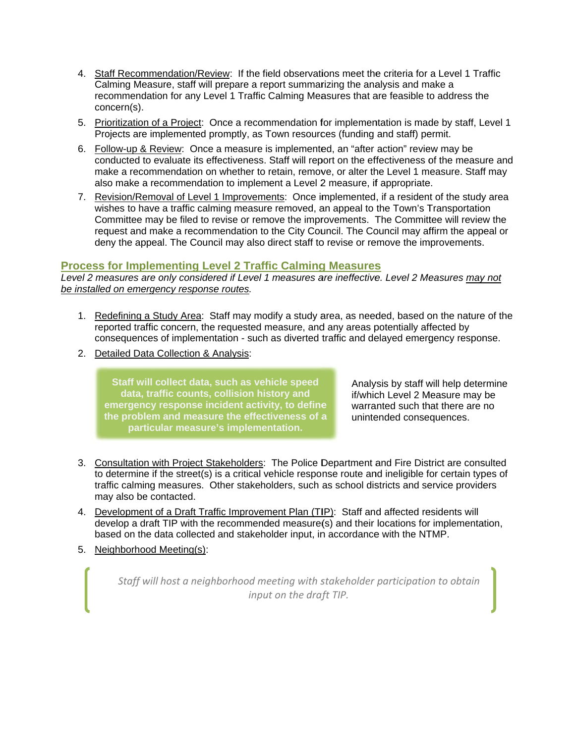- 4. Staff Recommendation/Review: If the field observations meet the criteria for a Level 1 Traffic Calming Measure, staff will prepare a report summarizing the analysis and make a recommendation for any Level 1 Traffic Calming Measures that are feasible to address the concern(s).
- 5. Prioritization of a Project: Once a recommendation for implementation is made by staff, Level 1 Projects are implemented promptly, as Town resources (funding and staff) permit.
- 6. Eollow-up & Review: Once a measure is implemented, an "after action" review may be conducted to evaluate its effectiveness. Staff will report on the effectiveness of the measure and make a recommendation on whether to retain, remove, or alter the Level 1 measure. Staff may also make a recommendation to implement a Level 2 measure, if appropriate.
- 7. Revision/Removal of Level 1 Improvements: Once implemented, if a resident of the study area wishes to have a traffic calming measure removed, an appeal to the Town's Transportation Committee may be filed to revise or remove the improvements. The Committee will review the request and make a recommendation to the City Council. The Council may affirm the appeal or deny the appeal. The Council may also direct staff to revise or remove the improvements.

#### **Process for Implementing Level 2 Traffic Calming Measures**

Level 2 measures are only considered if Level 1 measures are ineffective. Level 2 Measures may not *<u>be installed on emergency response routes</u>.* 

- 1. Redefining a Study Area: Staff may modify a study area, as needed, based on the nature of the reported traffic concern, the requested measure, and any areas potentially affected by consequences of implementation - such as diverted traffic and delayed emergency response.
- 2. Detailed Data Collection & Analysis:

emergency response incident activity, to define **t he problem and measu re the effect tiveness of a Staff will c ollect data, such as veh hicle speed**  data, traffic counts, collision history and **particular measure's implementation.** 

Analysis by staff will help determine if/which Level 2 Measure may be warranted such that there are no unintended consequences.

- 3. Consultation with Project Stakeholders: The Police Department and Fire District are consulted to determine if the street(s) is a critical vehicle response route and ineligible for certain types of traffic calming measures. Other stakeholders, such as school districts and service providers ma ay also be co ntacted.
- 4. Development of a Draft Traffic Improvement Plan (TIP): Staff and affected residents will develop a draft TIP with the recommended measure(s) and their locations for implementation, based on the data collected and stakeholder input, in accordance with the NTMP.
- 5. Neighborhood Meeting(s):

*Staff will h host a neigh hborhood me eeting with s stakeholder participatio on to obtain inpu t on the draf ft TIP.*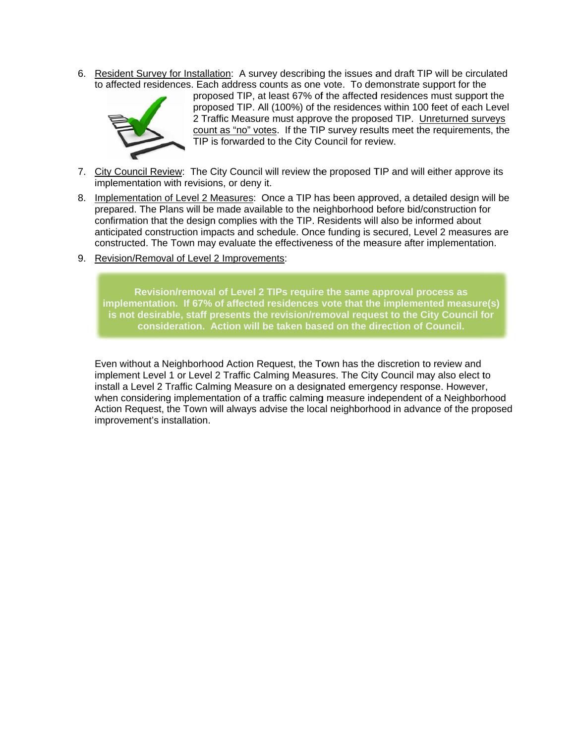6. Resident Survey for Installation: A survey describing the issues and draft TIP will be circulated to affected residences. Each address counts as one vote. To demonstrate support for the



proposed TIP, at least 67% of the affected residences must support the proposed TIP. All (100%) of the residences within 100 feet of each Level 2 Traffic Measure must approve the proposed TIP. Unreturned surveys count as "no" votes. If the TIP survey results meet the requirements, the TIP is forwarded to the City Council for review.

- 7. City Council Review: The City Council will review the proposed TIP and will either approve its implementation with revisions, or deny it.
- 8. Implementation of Level 2 Measures: Once a TIP has been approved, a detailed design will be prepared. The Plans will be made available to the neighborhood before bid/construction for confirmation that the design complies with the TIP. Residents will also be informed about anticipated construction impacts and schedule. Once funding is secured, Level 2 measures are constructed. The Town may evaluate the effectiveness of the measure after implementation.
- 9. Revision/Removal of Level 2 Improvements:

Revision/removal of Level 2 TIPs require the same approval process as implementation. If 67% of affected residences vote that the implemented measure(s) is not desirable, staff presents the revision/removal request to the City Council for consideration. Action will be taken based on the direction of Council.

Even without a Neighborhood Action Request, the Town has the discretion to review and implement Level 1 or Level 2 Traffic Calming Measures. The City Council may also elect to install a Level 2 Traffic Calming Measure on a designated emergency response. However. when considering implementation of a traffic calming measure independent of a Neighborhood Action Request, the Town will always advise the local neighborhood in advance of the proposed improvement's installation.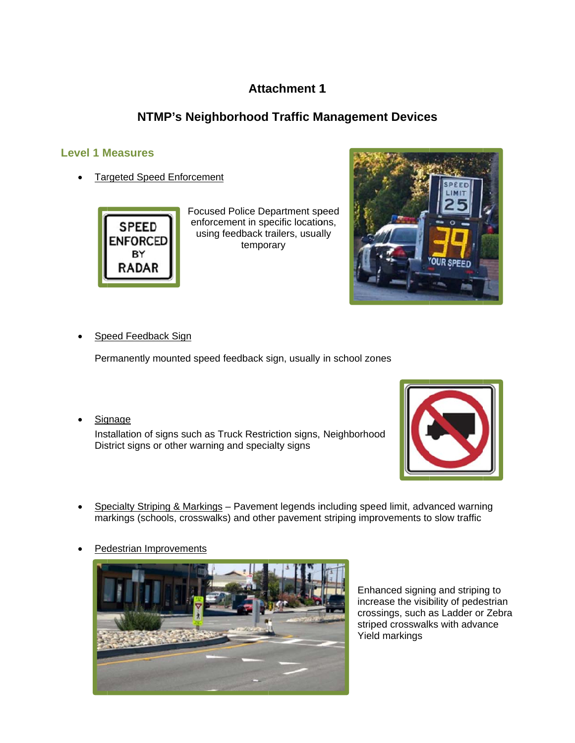## **Attachment 1**

## NTMP's Neighborhood Traffic Management Devices

#### **Level 1 Measures**

**Targeted Speed Enforcement** 



Focused Police Department speed enforcement in specific locations, using feedback trailers, usually temporary



Speed Feedback Sign

Permanently mounted speed feedback sign, usually in school zones

Signage

Installation of signs such as Truck Restriction signs, Neighborhood District signs or other warning and specialty signs



- Specialty Striping & Markings Pavement legends including speed limit, advanced warning markings (schools, crosswalks) and other pavement striping improvements to slow traffic
- Pedestrian Improvements



Enhanced signing and striping to increase the visibility of pedestrian crossings, such as Ladder or Zebra striped crosswalks with advance Yield markings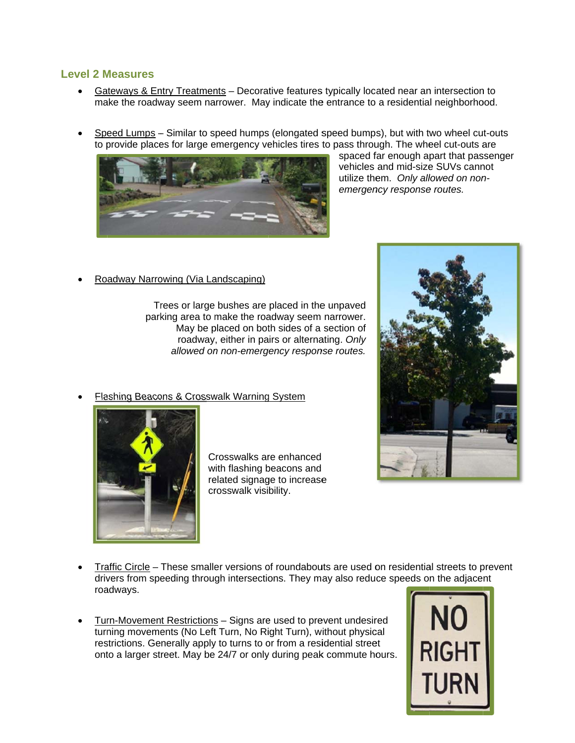#### **Level 2 Measures**

- Gateways & Entry Treatments Decorative features typically located near an intersection to make the roadway seem narrower. May indicate the entrance to a residential neighborhood.
- Speed Lumps Similar to speed humps (elongated speed bumps), but with two wheel cut-outs to provide places for large emergency vehicles tires to pass through. The wheel cut-outs are



spaced far enough apart that passenger vehicles and mid-size SUVs cannot utilize them. Only allowed on nonemergency response routes.

Roadway Narrowing (Via Landscaping)

Trees or large bushes are placed in the unpaved parking area to make the roadway seem narrower. May be placed on both sides of a section of roadway, either in pairs or alternating. Only allowed on non-emergency response routes.

Flashing Beacons & Crosswalk Warning System



Crosswalks are enhanced with flashing beacons and related signage to increase crosswalk visibility.



- Traffic Circle These smaller versions of roundabouts are used on residential streets to prevent drivers from speeding through intersections. They may also reduce speeds on the adjacent roadways.
- Turn-Movement Restrictions Signs are used to prevent undesired turning movements (No Left Turn, No Right Turn), without physical restrictions. Generally apply to turns to or from a residential street onto a larger street. May be 24/7 or only during peak commute hours.

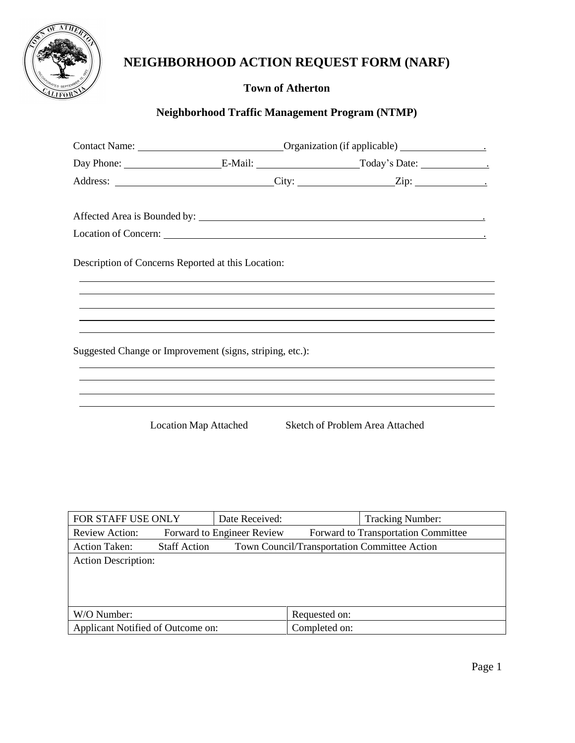

# **NEIGHBORHOOD ACTION REQUEST FORM (NARF)**

## **Town of Atherton**

### **Neighborhood Traffic Management Program (NTMP)**

| Description of Concerns Reported at this Location: |                                                          |  |  |
|----------------------------------------------------|----------------------------------------------------------|--|--|
|                                                    |                                                          |  |  |
|                                                    | Suggested Change or Improvement (signs, striping, etc.): |  |  |
|                                                    |                                                          |  |  |
|                                                    |                                                          |  |  |
|                                                    |                                                          |  |  |

Location Map Attached Sketch of Problem Area Attached

| FOR STAFF USE ONLY                |                     | Date Received:             |               | <b>Tracking Number:</b>                             |  |
|-----------------------------------|---------------------|----------------------------|---------------|-----------------------------------------------------|--|
| Review Action:                    |                     | Forward to Engineer Review |               | Forward to Transportation Committee                 |  |
| <b>Action Taken:</b>              | <b>Staff Action</b> |                            |               | <b>Town Council/Transportation Committee Action</b> |  |
| <b>Action Description:</b>        |                     |                            |               |                                                     |  |
|                                   |                     |                            |               |                                                     |  |
|                                   |                     |                            |               |                                                     |  |
|                                   |                     |                            |               |                                                     |  |
| W/O Number:                       |                     |                            | Requested on: |                                                     |  |
| Applicant Notified of Outcome on: |                     | Completed on:              |               |                                                     |  |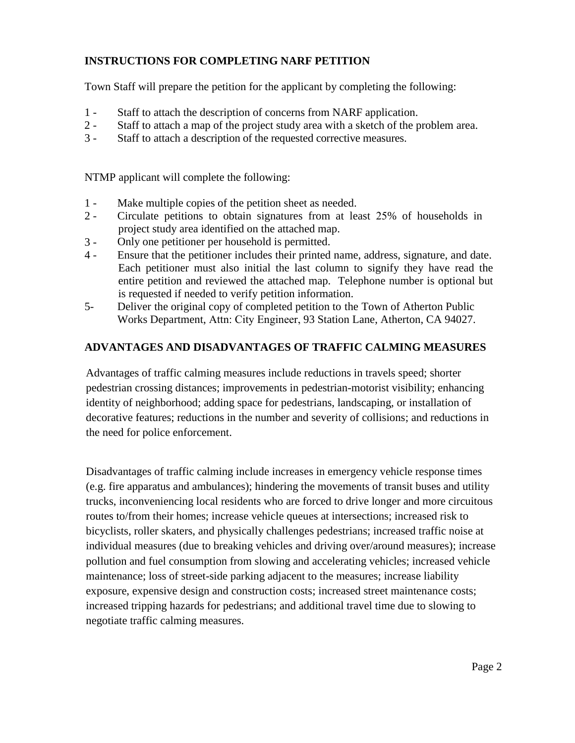#### **INSTRUCTIONS FOR COMPLETING NARF PETITION**

Town Staff will prepare the petition for the applicant by completing the following:

- 1 Staff to attach the description of concerns from NARF application.
- 2 Staff to attach a map of the project study area with a sketch of the problem area.
- 3 Staff to attach a description of the requested corrective measures.

NTMP applicant will complete the following:

- 1 Make multiple copies of the petition sheet as needed.
- $2 -$ Circulate petitions to obtain signatures from at least 25% of households in project study area identified on the attached map.
- 3 Only one petitioner per household is permitted.
- $4 -$ Ensure that the petitioner includes their printed name, address, signature, and date. Each petitioner must also initial the last column to signify they have read the entire petition and reviewed the attached map. Telephone number is optional but is requested if needed to verify petition information.
- 5- Deliver the original copy of completed petition to the Town of Atherton Public Works Department, Attn: City Engineer, 93 Station Lane, Atherton, CA 94027.

#### **ADVANTAGES AND DISADVANTAGES OF TRAFFIC CALMING MEASURES**

Advantages of traffic calming measures include reductions in travels speed; shorter pedestrian crossing distances; improvements in pedestrian-motorist visibility; enhancing identity of neighborhood; adding space for pedestrians, landscaping, or installation of decorative features; reductions in the number and severity of collisions; and reductions in the need for police enforcement.

Disadvantages of traffic calming include increases in emergency vehicle response times (e.g. fire apparatus and ambulances); hindering the movements of transit buses and utility trucks, inconveniencing local residents who are forced to drive longer and more circuitous routes to/from their homes; increase vehicle queues at intersections; increased risk to bicyclists, roller skaters, and physically challenges pedestrians; increased traffic noise at individual measures (due to breaking vehicles and driving over/around measures); increase pollution and fuel consumption from slowing and accelerating vehicles; increased vehicle maintenance; loss of street-side parking adjacent to the measures; increase liability exposure, expensive design and construction costs; increased street maintenance costs; increased tripping hazards for pedestrians; and additional travel time due to slowing to negotiate traffic calming measures.